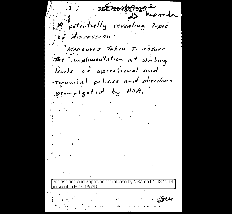REDIORESSIGE P potentially revealing topic of Aiseussion: Measures Taken to assure the implimentation at working levels of operational and rechnical policies and directives promulgated by NSA. Declassified and approved for release by NSA on 01-08-2014 <u>pursuant to E.O. 13526</u>  $-$  SIU  $\label{eq:2.1} \mathcal{L}(\mathcal{L}^{\mathcal{L}}(\mathcal{L}^{\mathcal{L}}(\mathcal{L}^{\mathcal{L}}(\mathcal{L}^{\mathcal{L}}(\mathcal{L}^{\mathcal{L}}(\mathcal{L}^{\mathcal{L}}(\mathcal{L}^{\mathcal{L}}(\mathcal{L}^{\mathcal{L}}(\mathcal{L}^{\mathcal{L}}(\mathcal{L}^{\mathcal{L}}(\mathcal{L}^{\mathcal{L}}(\mathcal{L}^{\mathcal{L}}(\mathcal{L}^{\mathcal{L}}(\mathcal{L}^{\mathcal{L}}(\mathcal{L}^{\mathcal{L}}(\mathcal{L}^{\mathcal$